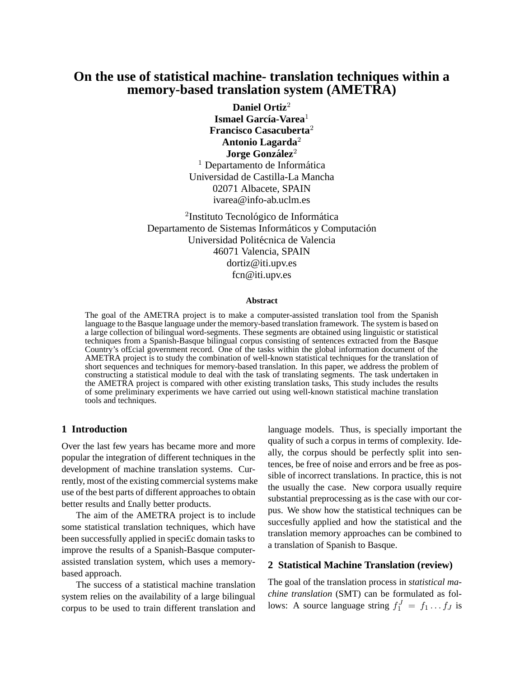# **On the use of statistical machine- translation techniques within a memory-based translation system (AMETRA)**

**Daniel Ortiz**<sup>2</sup> **Ismael García-Varea**<sup>1</sup> **Francisco Casacuberta**<sup>2</sup> **Antonio Lagarda**<sup>2</sup> **Jorge Gonzalez ´** 2  $<sup>1</sup>$  Departamento de Informática</sup> Universidad de Castilla-La Mancha 02071 Albacete, SPAIN ivarea@info-ab.uclm.es

<sup>2</sup>Instituto Tecnológico de Informática Departamento de Sistemas Informáticos y Computación Universidad Politécnica de Valencia 46071 Valencia, SPAIN dortiz@iti.upv.es fcn@iti.upv.es

#### **Abstract**

The goal of the AMETRA project is to make a computer-assisted translation tool from the Spanish language to the Basque language under the memory-based translation framework. The system is based on a large collection of bilingual word-segments. These segments are obtained using linguistic or statistical techniques from a Spanish-Basque bilingual corpus consisting of sentences extracted from the Basque Country's of£cial government record. One of the tasks within the global information document of the AMETRA project is to study the combination of well-known statistical techniques for the translation of short sequences and techniques for memory-based translation. In this paper, we address the problem of constructing a statistical module to deal with the task of translating segments. The task undertaken in the AMETRA project is compared with other existing translation tasks, This study includes the results of some preliminary experiments we have carried out using well-known statistical machine translation tools and techniques.

#### **1 Introduction**

Over the last few years has became more and more popular the integration of different techniques in the development of machine translation systems. Currently, most of the existing commercial systems make use of the best parts of different approaches to obtain better results and £nally better products.

The aim of the AMETRA project is to include some statistical translation techniques, which have been successfully applied in speci£c domain tasks to improve the results of a Spanish-Basque computerassisted translation system, which uses a memorybased approach.

The success of a statistical machine translation system relies on the availability of a large bilingual corpus to be used to train different translation and language models. Thus, is specially important the quality of such a corpus in terms of complexity. Ideally, the corpus should be perfectly split into sentences, be free of noise and errors and be free as possible of incorrect translations. In practice, this is not the usually the case. New corpora usually require substantial preprocessing as is the case with our corpus. We show how the statistical techniques can be succesfully applied and how the statistical and the translation memory approaches can be combined to a translation of Spanish to Basque.

## **2 Statistical Machine Translation (review)**

The goal of the translation process in *statistical machine translation* (SMT) can be formulated as follows: A source language string  $f_1^J = f_1 \dots f_J$  is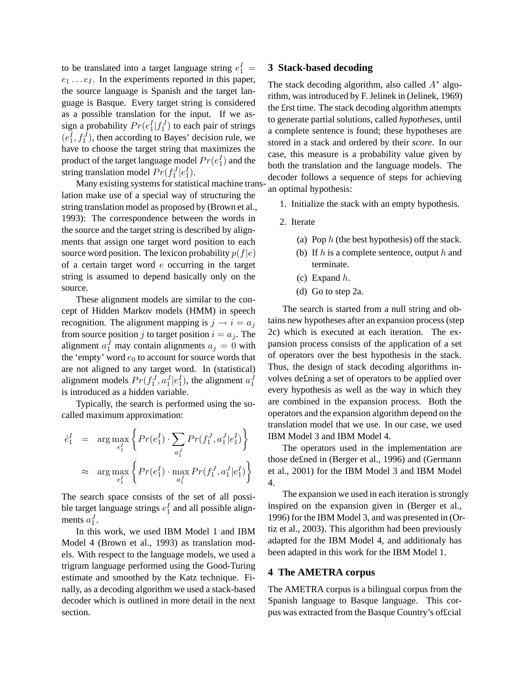to be translated into a target language string  $e_1^I$  =  $e_1 \ldots e_I$ . In the experiments reported in this paper, the source language is Spanish and the target language is Basque. Every target string is considered as a possible translation for the input. If we assign a probability  $Pr(e_1^I|f_1^J)$  to each pair of strings  $(e_1^I, f_1^J)$ , then according to Bayes' decision rule, we have to choose the target string that maximizes the product of the target language model  $Pr(e_1^I)$  and the string translation model  $Pr(f_1^J|e_1^I)$ .

Many existing systems for statistical machine translation make use of a special way of structuring the string translation model as proposed by (Brown et al., 1993): The correspondence between the words in the source and the target string is described by alignments that assign one target word position to each source word position. The lexicon probability  $p(f|e)$ of a certain target word  $e$  occurring in the target string is assumed to depend basically only on the source.

These alignment models are similar to the concept of Hidden Markov models (HMM) in speech recognition. The alignment mapping is  $j \rightarrow i = a_j$ from source position j to target position  $i = a_j$ . The alignment  $a_1^J$  may contain alignments  $a_j = 0$  with the 'empty' word  $e_0$  to account for source words that are not aligned to any target word. In (statistical) alignment models  $Pr(f_1^J, a_1^J | e_1^I)$ , the alignment  $a_1^J$ is introduced as a hidden variable.

Typically, the search is performed using the socalled maximum approximation:

$$
\begin{array}{rcl} \hat{e}_1^I & = & \arg\max\limits_{e_1^I} \left\{ \Pr(e_1^I) \cdot \sum\limits_{a_1^J} \Pr(f_1^J, a_1^J | e_1^I) \right\} \\ & \approx & \arg\max\limits_{e_1^I} \left\{ \Pr(e_1^I) \cdot \max\limits_{a_1^J} \Pr(f_1^J, a_1^J | e_1^I) \right\} \end{array}
$$

The search space consists of the set of all possible target language strings  $e_1^I$  and all possible alignments  $a_1^J$ .

In this work, we used IBM Model 1 and IBM Model 4 (Brown et al., 1993) as translation models. With respect to the language models, we used a trigram language performed using the Good-Turing estimate and smoothed by the Katz technique. Finally, as a decoding algorithm we used a stack-based decoder which is outlined in more detail in the next section.

## **3 Stack-based decoding**

The stack decoding algorithm, also called  $A^*$  algorithm, was introduced by F. Jelinek in (Jelinek, 1969) the £rst time. The stack decoding algorithm attempts to generate partial solutions, called *hypotheses*, until a complete sentence is found; these hypotheses are stored in a stack and ordered by their *score*. In our case, this measure is a probability value given by both the translation and the language models. The decoder follows a sequence of steps for achieving an optimal hypothesis:

- 1. Initialize the stack with an empty hypothesis.
- 2. Iterate
	- (a) Pop  $h$  (the best hypothesis) off the stack.
	- (b) If  $h$  is a complete sentence, output  $h$  and terminate.
	- (c) Expand  $h$ .
	- (d) Go to step 2a.

The search is started from a null string and obtains new hypotheses after an expansion process(step 2c) which is executed at each iteration. The expansion process consists of the application of a set of operators over the best hypothesis in the stack. Thus, the design of stack decoding algorithms involves de£ning a set of operators to be applied over every hypothesis as well as the way in which they are combined in the expansion process. Both the operators and the expansion algorithm depend on the translation model that we use. In our case, we used IBM Model 3 and IBM Model 4.

The operators used in the implementation are those de£ned in (Berger et al., 1996) and (Germann et al., 2001) for the IBM Model 3 and IBM Model 4.

The expansion we used in each iteration is strongly inspired on the expansion given in (Berger et al., 1996) for the IBM Model 3, and was presented in (Ortiz et al., 2003). This algorithm had been previously adapted for the IBM Model 4, and additionaly has been adapted in this work for the IBM Model 1.

#### **4 The AMETRA corpus**

The AMETRA corpus is a bilingual corpus from the Spanish language to Basque language. This corpus was extracted from the Basque Country's of£cial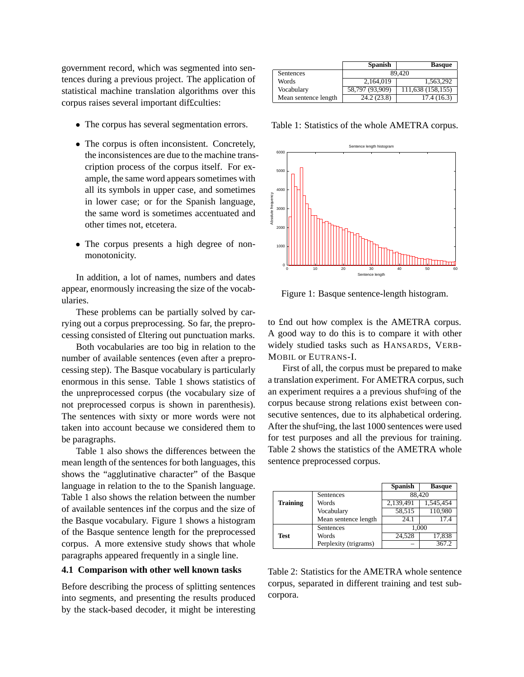government record, which was segmented into sentences during a previous project. The application of statistical machine translation algorithms over this corpus raises several important dif£culties:

- The corpus has several segmentation errors.
- The corpus is often inconsistent. Concretely, the inconsistences are due to the machine transcription process of the corpus itself. For example, the same word appears sometimes with all its symbols in upper case, and sometimes in lower case; or for the Spanish language, the same word is sometimes accentuated and other times not, etcetera.
- The corpus presents a high degree of nonmonotonicity.

In addition, a lot of names, numbers and dates appear, enormously increasing the size of the vocabularies.

These problems can be partially solved by carrying out a corpus preprocessing. So far, the preprocessing consisted of £ltering out punctuation marks.

Both vocabularies are too big in relation to the number of available sentences (even after a preprocessing step). The Basque vocabulary is particularly enormous in this sense. Table 1 shows statistics of the unpreprocessed corpus (the vocabulary size of not preprocessed corpus is shown in parenthesis). The sentences with sixty or more words were not taken into account because we considered them to be paragraphs.

Table 1 also shows the differences between the mean length of the sentences for both languages, this shows the "agglutinative character" of the Basque language in relation to the to the Spanish language. Table 1 also shows the relation between the number of available sentences inf the corpus and the size of the Basque vocabulary. Figure 1 shows a histogram of the Basque sentence length for the preprocessed corpus. A more extensive study shows that whole paragraphs appeared frequently in a single line.

# **4.1 Comparison with other well known tasks**

Before describing the process of splitting sentences into segments, and presenting the results produced by the stack-based decoder, it might be interesting

|                      | <b>Spanish</b>  | <b>Basque</b>     |
|----------------------|-----------------|-------------------|
| Sentences            |                 | 89.420            |
| Words                | 2.164.019       | 1,563,292         |
| Vocabulary           | 58,797 (93,909) | 111,638 (158,155) |
| Mean sentence length | 24.2 (23.8)     | 17.4 (16.3)       |

Table 1: Statistics of the whole AMETRA corpus.



Figure 1: Basque sentence-length histogram.

to £nd out how complex is the AMETRA corpus. A good way to do this is to compare it with other widely studied tasks such as HANSARDS, VERB-MOBIL or EUTRANS-I.

First of all, the corpus must be prepared to make a translation experiment. For AMETRA corpus, such an experiment requires a a previous shuf $\alpha$ ing of the corpus because strong relations exist between consecutive sentences, due to its alphabetical ordering. After the shuf¤ing, the last 1000 sentences were used for test purposes and all the previous for training. Table 2 shows the statistics of the AMETRA whole sentence preprocessed corpus.

|                 |                       | <b>Spanish</b> | <b>Basque</b> |
|-----------------|-----------------------|----------------|---------------|
|                 | Sentences             |                | 88,420        |
| <b>Training</b> | Words                 | 2,139,491      | 1,545,454     |
|                 | Vocabulary            | 58,515         | 110,980       |
|                 | Mean sentence length  | 24.1           |               |
|                 | Sentences             |                | 1,000         |
| <b>Test</b>     | Words                 | 24.528         | 17,838        |
|                 | Perplexity (trigrams) |                | 367.2         |

Table 2: Statistics for the AMETRA whole sentence corpus, separated in different training and test subcorpora.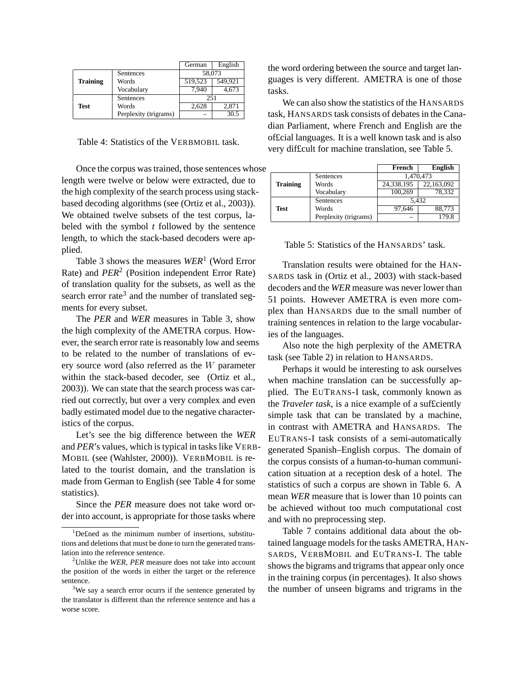|                 |                       | German  | English |
|-----------------|-----------------------|---------|---------|
|                 | Sentences             | 58,073  |         |
| <b>Training</b> | Words                 | 519.523 | 549.921 |
|                 | Vocabulary            | 7.940   | 4,673   |
|                 | Sentences             | 251     |         |
| Test            | Words                 | 2,628   | 2.871   |
|                 | Perplexity (trigrams) |         | 30.5    |

Table 4: Statistics of the VERBMOBIL task.

Once the corpus wastrained, those sentences whose length were twelve or below were extracted, due to the high complexity of the search process using stackbased decoding algorithms (see (Ortiz et al., 2003)). We obtained twelve subsets of the test corpus, labeled with the symbol *t* followed by the sentence length, to which the stack-based decoders were applied.

Table 3 shows the measures *WER*<sup>1</sup> (Word Error Rate) and *PER*<sup>2</sup> (Position independent Error Rate) of translation quality for the subsets, as well as the search error rate<sup>3</sup> and the number of translated segments for every subset.

The *PER* and *WER* measures in Table 3, show the high complexity of the AMETRA corpus. However, the search error rate is reasonably low and seems to be related to the number of translations of every source word (also referred as the W parameter within the stack-based decoder, see (Ortiz et al., 2003)). We can state that the search process was carried out correctly, but over a very complex and even badly estimated model due to the negative characteristics of the corpus.

Let's see the big difference between the *WER* and *PER*'s values, which is typical in tasks like VERB-MOBIL (see (Wahlster, 2000)). VERBMOBIL is related to the tourist domain, and the translation is made from German to English (see Table 4 for some statistics).

Since the *PER* measure does not take word order into account, is appropriate for those tasks where the word ordering between the source and target languages is very different. AMETRA is one of those tasks.

We can also show the statistics of the HANSARDS task, HANSARDS task consists of debatesin the Canadian Parliament, where French and English are the of£cial languages. It is a well known task and is also very dif£cult for machine translation, see Table 5.

|                 |                       | French     | <b>English</b> |
|-----------------|-----------------------|------------|----------------|
|                 | Sentences             |            | 1,470,473      |
| <b>Training</b> | Words                 | 24,338,195 | 22,163,092     |
|                 | Vocabulary            | 100,269    | 78.332         |
|                 | Sentences             |            | 5.432          |
| <b>Test</b>     | Words                 | 97.646     | 88,773         |
|                 | Perplexity (trigrams) |            | 179.8          |

Table 5: Statistics of the HANSARDS' task.

Translation results were obtained for the HAN-SARDS task in (Ortiz et al., 2003) with stack-based decoders and the *WER* measure was never lower than 51 points. However AMETRA is even more complex than HANSARDS due to the small number of training sentences in relation to the large vocabularies of the languages.

Also note the high perplexity of the AMETRA task (see Table 2) in relation to HANSARDS.

Perhaps it would be interesting to ask ourselves when machine translation can be successfully applied. The EUTRANS-I task, commonly known as the *Traveler task*, is a nice example of a suf£ciently simple task that can be translated by a machine, in contrast with AMETRA and HANSARDS. The EUTRANS-I task consists of a semi-automatically generated Spanish–English corpus. The domain of the corpus consists of a human-to-human communication situation at a reception desk of a hotel. The statistics of such a corpus are shown in Table 6. A mean *WER* measure that is lower than 10 points can be achieved without too much computational cost and with no preprocessing step.

Table 7 contains additional data about the obtained language models for the tasks AMETRA, HAN-SARDS, VERBMOBIL and EUTRANS-I. The table shows the bigrams and trigrams that appear only once in the training corpus (in percentages). It also shows the number of unseen bigrams and trigrams in the

<sup>1</sup>De£ned as the minimum number of insertions, substitutions and deletions that must be done to turn the generated translation into the reference sentence.

<sup>2</sup>Unlike the *WER*, *PER* measure does not take into account the position of the words in either the target or the reference sentence.

<sup>&</sup>lt;sup>3</sup>We say a search error ocurrs if the sentence generated by the translator is different than the reference sentence and has a worse score.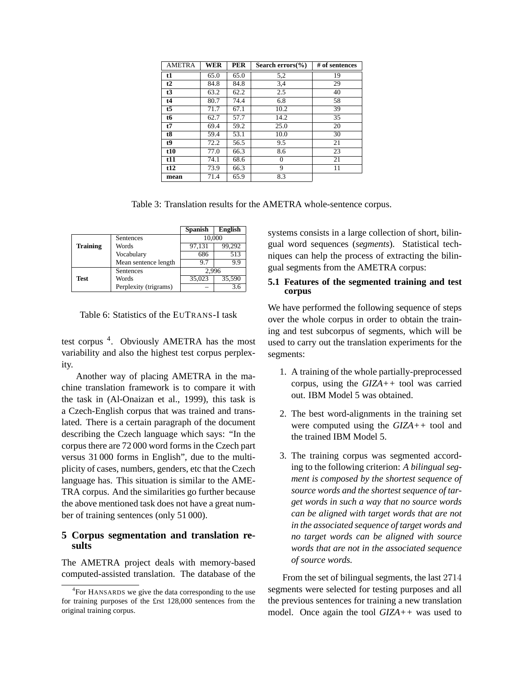| AMETRA          | <b>WER</b> | <b>PER</b> | Search errors $(\%$ | # of sentences |
|-----------------|------------|------------|---------------------|----------------|
| t1              | 65.0       | 65.0       | 5,2                 | 19             |
| t2              | 84.8       | 84.8       | 3,4                 | 29             |
| t3              | 63.2       | 62.2       | 2.5                 | 40             |
| t4              | 80.7       | 74.4       | 6.8                 | 58             |
| $t\overline{5}$ | 71.7       | 67.1       | 10.2                | 39             |
| t6              | 62.7       | 57.7       | 14.2                | 35             |
| t7              | 69.4       | 59.2       | 25.0                | 20             |
| t8              | 59.4       | 53.1       | 10.0                | 30             |
| t9              | 72.2       | 56.5       | 9.5                 | 21             |
| t10             | 77.0       | 66.3       | 8.6                 | 23             |
| t11             | 74.1       | 68.6       | $\Omega$            | 21             |
| t12             | 73.9       | 66.3       | 9                   | 11             |
| mean            | 71.4       | 65.9       | 8.3                 |                |

Table 3: Translation results for the AMETRA whole-sentence corpus.

|                 |                       | <b>Spanish</b> | <b>English</b> |
|-----------------|-----------------------|----------------|----------------|
|                 | Sentences             | 10,000         |                |
| <b>Training</b> | Words                 | 97,131         | 99,292         |
|                 | Vocabulary            | 686            | 513            |
|                 | Mean sentence length  | 9.7            | 9.9            |
|                 | Sentences             | 2.996          |                |
| <b>Test</b>     | Words                 | 35,023         | 35,590         |
|                 | Perplexity (trigrams) |                | 3.6            |

Table 6: Statistics of the EUTRANS-I task

test corpus <sup>4</sup>. Obviously AMETRA has the most variability and also the highest test corpus perplexity.

Another way of placing AMETRA in the machine translation framework is to compare it with the task in (Al-Onaizan et al., 1999), this task is a Czech-English corpus that was trained and translated. There is a certain paragraph of the document describing the Czech language which says: "In the corpus there are 72 000 word forms in the Czech part versus 31 000 forms in English", due to the multiplicity of cases, numbers, genders, etc that the Czech language has. This situation is similar to the AME-TRA corpus. And the similarities go further because the above mentioned task does not have a great number of training sentences (only 51 000).

## **5 Corpus segmentation and translation results**

The AMETRA project deals with memory-based computed-assisted translation. The database of the systems consists in a large collection of short, bilingual word sequences (*segments*). Statistical techniques can help the process of extracting the bilingual segments from the AMETRA corpus:

## **5.1 Features of the segmented training and test corpus**

We have performed the following sequence of steps over the whole corpus in order to obtain the training and test subcorpus of segments, which will be used to carry out the translation experiments for the segments:

- 1. A training of the whole partially-preprocessed corpus, using the *GIZA++* tool was carried out. IBM Model 5 was obtained.
- 2. The best word-alignments in the training set were computed using the *GIZA++* tool and the trained IBM Model 5.
- 3. The training corpus was segmented according to the following criterion: *A bilingual segment is composed by the shortest sequence of source words and the shortest sequence of target words in such a way that no source words can be aligned with target words that are not in the associated sequence of target words and no target words can be aligned with source words that are not in the associated sequence of source words.*

From the set of bilingual segments, the last 2714 segments were selected for testing purposes and all the previous sentences for training a new translation model. Once again the tool *GIZA++* was used to

<sup>&</sup>lt;sup>4</sup>For HANSARDS we give the data corresponding to the use for training purposes of the £rst 128,000 sentences from the original training corpus.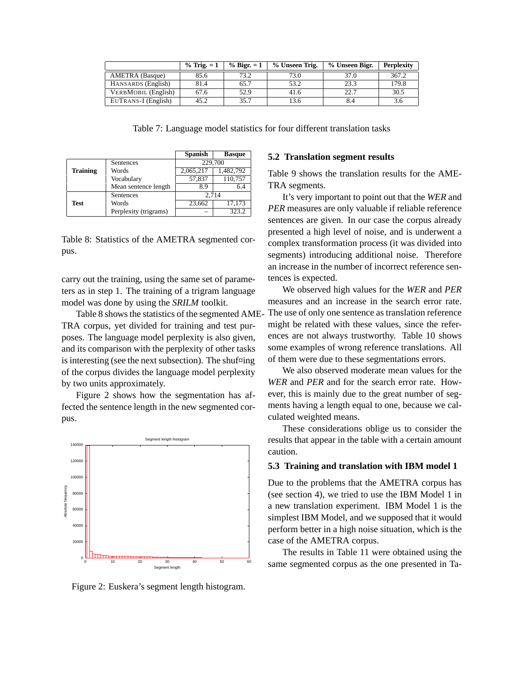|                            | $%$ Trig. $=1$ | $\%$ Bigr. = 1 | % Unseen Trig. | % Unseen Bigr. | <b>Perplexity</b> |
|----------------------------|----------------|----------------|----------------|----------------|-------------------|
| <b>AMETRA</b> (Basque)     | 85.6           | 73.2           | 73.0           | 37.0           | 367.2             |
| HANSARDS (English)         | 81.4           | 65.7           | 53.2           | 23.3           | 179.8             |
| <b>VERBMOBIL</b> (English) | 67.6           | 52.9           | 41.6           | 22.7           | 30.5              |
| EUTRANS-I (English)        | 45.2           | 35.7           | 3.6            | 8.4            | 5.0               |

Table 7: Language model statistics for four different translation tasks

|                 |                       | <b>Spanish</b> | <b>Basque</b> |
|-----------------|-----------------------|----------------|---------------|
|                 | Sentences             | 229,700        |               |
| <b>Training</b> | Words                 | 2,065,217      | 1,482,792     |
|                 | Vocabulary            | 57,837         | 110,757       |
|                 | Mean sentence length  | 8.9            | 6.4           |
|                 | Sentences             | 2,714          |               |
| <b>Test</b>     | Words                 | 23,662         | 17,173        |
|                 | Perplexity (trigrams) |                | 323.2         |

Table 8: Statistics of the AMETRA segmented corpus.

carry out the training, using the same set of parameters as in step 1. The training of a trigram language model was done by using the *SRILM* toolkit.

Table 8 shows the statistics of the segmented AME TRA corpus, yet divided for training and test purposes. The language model perplexity is also given, and its comparison with the perplexity of other tasks is interesting (see the next subsection). The shuf $\Xi$ ing of the corpus divides the language model perplexity by two units approximately.

Figure 2 shows how the segmentation has affected the sentence length in the new segmented corpus.



Figure 2: Euskera's segment length histogram.

## **5.2 Translation segment results**

Table 9 shows the translation results for the AME-TRA segments.

It's very important to point out that the *WER* and *PER* measures are only valuable if reliable reference sentences are given. In our case the corpus already presented a high level of noise, and is underwent a complex transformation process (it was divided into segments) introducing additional noise. Therefore an increase in the number of incorrect reference sentences is expected.

We observed high values for the *WER* and *PER* measures and an increase in the search error rate. The use of only one sentence as translation reference might be related with these values, since the references are not always trustworthy. Table 10 shows some examples of wrong reference translations. All of them were due to these segmentations errors.

We also observed moderate mean values for the *WER* and *PER* and for the search error rate. However, this is mainly due to the great number of segments having a length equal to one, because we calculated weighted means.

These considerations oblige us to consider the results that appear in the table with a certain amount caution.

#### **5.3 Training and translation with IBM model 1**

Due to the problems that the AMETRA corpus has (see section 4), we tried to use the IBM Model 1 in a new translation experiment. IBM Model 1 is the simplest IBM Model, and we supposed that it would perform better in a high noise situation, which is the case of the AMETRA corpus.

The results in Table 11 were obtained using the same segmented corpus as the one presented in Ta-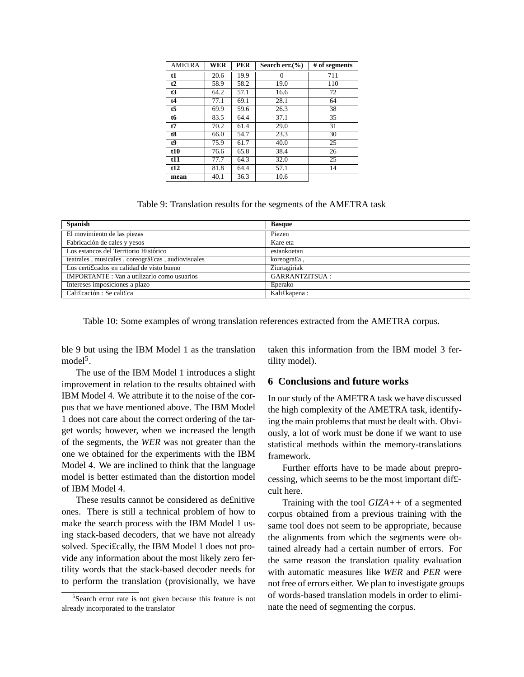| AMETRA | WER  | <b>PER</b> | Search err. $(\% )$ | # of segments |
|--------|------|------------|---------------------|---------------|
| t1     | 20.6 | 19.9       | 0                   | 711           |
| t2     | 58.9 | 58.2       | 19.0                | 110           |
| t3     | 64.2 | 57.1       | 16.6                | 72            |
| t4     | 77.1 | 69.1       | 28.1                | 64            |
| t5     | 69.9 | 59.6       | 26.3                | 38            |
| t6     | 83.5 | 64.4       | 37.1                | 35            |
| t7     | 70.2 | 61.4       | 29.0                | 31            |
| t8     | 66.0 | 54.7       | 23.3                | 30            |
| t9     | 75.9 | 61.7       | 40.0                | 25            |
| t10    | 76.6 | 65.8       | 38.4                | 26            |
| t11    | 77.7 | 64.3       | 32.0                | 25            |
| t12    | 81.8 | 64.4       | 57.1                | 14            |
| mean   | 40.1 | 36.3       | 10.6                |               |

Table 9: Translation results for the segments of the AMETRA task

| <b>Spanish</b>                                     | <b>Basque</b>         |
|----------------------------------------------------|-----------------------|
| El movimiento de las piezas                        | Piezen                |
| Fabricación de cales y yesos                       | Kare eta              |
| Los estancos del Territorio Histórico              | estankoetan           |
| teatrales, musicales, coreográficas, audiovisuales | koreografia,          |
| Los certificados en calidad de visto bueno         | Ziurtagiriak          |
| <b>IMPORTANTE</b> : Van a utilizarlo como usuarios | <b>GARRANTZITSUA:</b> |
| Intereses imposiciones a plazo                     | Eperako               |
| Cali£cación: Se cali£ca                            | Kali£kapena:          |

Table 10: Some examples of wrong translation references extracted from the AMETRA corpus.

ble 9 but using the IBM Model 1 as the translation model<sup>5</sup>.

The use of the IBM Model 1 introduces a slight improvement in relation to the results obtained with IBM Model 4. We attribute it to the noise of the corpus that we have mentioned above. The IBM Model 1 does not care about the correct ordering of the target words; however, when we increased the length of the segments, the *WER* was not greater than the one we obtained for the experiments with the IBM Model 4. We are inclined to think that the language model is better estimated than the distortion model of IBM Model 4.

These results cannot be considered as de£nitive ones. There is still a technical problem of how to make the search process with the IBM Model 1 using stack-based decoders, that we have not already solved. Speci£cally, the IBM Model 1 does not provide any information about the most likely zero fertility words that the stack-based decoder needs for to perform the translation (provisionally, we have taken this information from the IBM model 3 fertility model).

#### **6 Conclusions and future works**

In ourstudy of the AMETRA task we have discussed the high complexity of the AMETRA task, identifying the main problems that must be dealt with. Obviously, a lot of work must be done if we want to use statistical methods within the memory-translations framework.

Further efforts have to be made about preprocessing, which seems to be the most important dif£ cult here.

Training with the tool *GIZA++* of a segmented corpus obtained from a previous training with the same tool does not seem to be appropriate, because the alignments from which the segments were obtained already had a certain number of errors. For the same reason the translation quality evaluation with automatic measures like *WER* and *PER* were not free of errors either. We plan to investigate groups of words-based translation models in order to eliminate the need of segmenting the corpus.

<sup>&</sup>lt;sup>5</sup>Search error rate is not given because this feature is not already incorporated to the translator